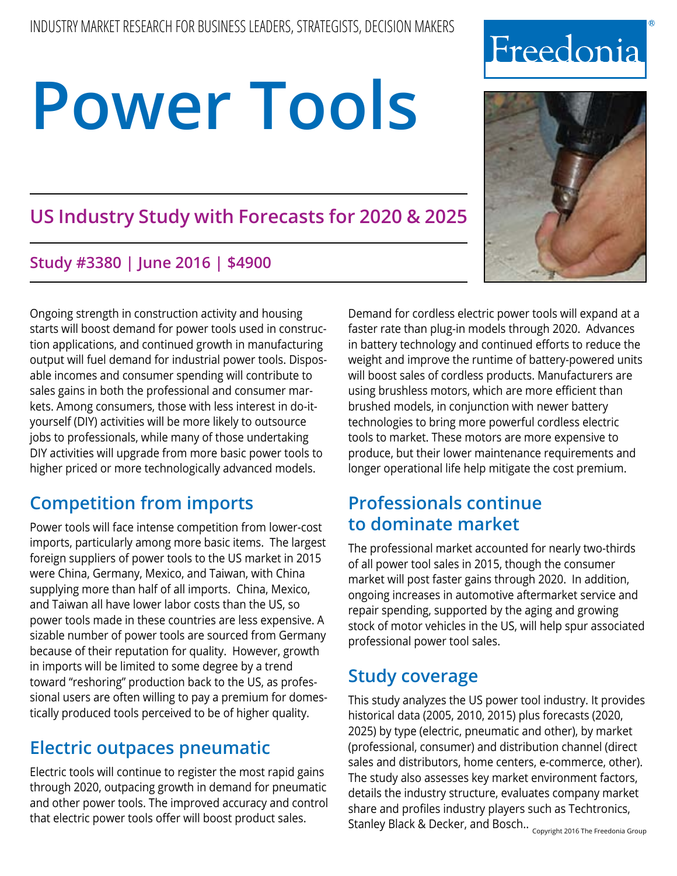# **US Industry Study with Forecasts for 2020 & 2025**

## **Study #3380 | June 2016 | \$4900**

Ongoing strength in construction activity and housing starts will boost demand for power tools used in construction applications, and continued growth in manufacturing output will fuel demand for industrial power tools. Disposable incomes and consumer spending will contribute to sales gains in both the professional and consumer markets. Among consumers, those with less interest in do-ityourself (DIY) activities will be more likely to outsource jobs to professionals, while many of those undertaking DIY activities will upgrade from more basic power tools to higher priced or more technologically advanced models.

# **Competition from imports**

Power tools will face intense competition from lower-cost imports, particularly among more basic items. The largest foreign suppliers of power tools to the US market in 2015 were China, Germany, Mexico, and Taiwan, with China supplying more than half of all imports. China, Mexico, and Taiwan all have lower labor costs than the US, so power tools made in these countries are less expensive. A sizable number of power tools are sourced from Germany because of their reputation for quality. However, growth in imports will be limited to some degree by a trend toward "reshoring" production back to the US, as professional users are often willing to pay a premium for domestically produced tools perceived to be of higher quality.

# **Electric outpaces pneumatic**

Electric tools will continue to register the most rapid gains through 2020, outpacing growth in demand for pneumatic and other power tools. The improved accuracy and control that electric power tools offer will boost product sales.

Demand for cordless electric power tools will expand at a faster rate than plug-in models through 2020. Advances in battery technology and continued efforts to reduce the weight and improve the runtime of battery-powered units will boost sales of cordless products. Manufacturers are using brushless motors, which are more efficient than brushed models, in conjunction with newer battery technologies to bring more powerful cordless electric tools to market. These motors are more expensive to produce, but their lower maintenance requirements and longer operational life help mitigate the cost premium.

# **Professionals continue to dominate market**

The professional market accounted for nearly two-thirds of all power tool sales in 2015, though the consumer market will post faster gains through 2020. In addition, ongoing increases in automotive aftermarket service and repair spending, supported by the aging and growing stock of motor vehicles in the US, will help spur associated professional power tool sales.

# **Study coverage**

This study analyzes the US power tool industry. It provides historical data (2005, 2010, 2015) plus forecasts (2020, 2025) by type (electric, pneumatic and other), by market (professional, consumer) and distribution channel (direct sales and distributors, home centers, e-commerce, other). The study also assesses key market environment factors, details the industry structure, evaluates company market share and profiles industry players such as Techtronics, Stanley Black & Decker, and Bosch.. Copyright 2016 The Freedonia Group





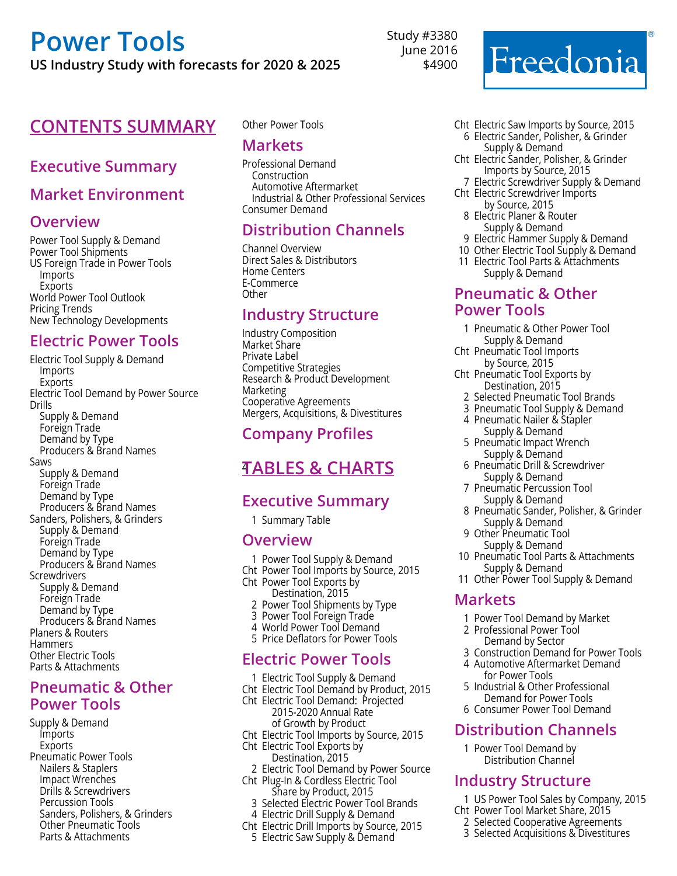**US Industry Study with forecasts for 2020 & 2025**

#### **CONTENTS SUMMARY** Other Power Tools

#### **Executive Summary**

#### **Market Environment**

#### **Overview**

Power Tool Supply & Demand Power Tool Shipments US Foreign Trade in Power Tools Imports **Exports** World Power Tool Outlook Pricing Trends New Technology Developments

#### **Electric Power Tools**

Electric Tool Supply & Demand Imports Exports Electric Tool Demand by Power Source Drills Supply & Demand Foreign Trade Demand by Type Producers & Brand Names Saws Supply & Demand Foreign Trade Demand by Type Producers & Brand Names Sanders, Polishers, & Grinders Supply & Demand Foreign Trade Demand by Type Producers & Brand Names **Screwdrivers** Supply & Demand Foreign Trade Demand by Type Producers & Brand Names Planers & Routers **Hammers** Other Electric Tools Parts & Attachments

#### **Pneumatic & Other Power Tools**

Supply & Demand Imports Exports Pneumatic Power Tools Nailers & Staplers Impact Wrenches Drills & Screwdrivers Percussion Tools Sanders, Polishers, & Grinders Other Pneumatic Tools Parts & Attachments

#### **Markets**

Professional Demand Construction Automotive Aftermarket Industrial & Other Professional Services Consumer Demand

Study #3380 June 2016 \$4900

#### **Distribution Channels**

Channel Overview Direct Sales & Distributors Home Centers E-Commerce Other

#### **Industry Structure**

Industry Composition Market Share Private Label Competitive Strategies Research & Product Development Marketing Cooperative Agreements Mergers, Acquisitions, & Divestitures

#### **Company Profiles**

## 4 **Tables & Charts**

#### **Executive Summary**

1 Summary Table

#### **Overview**

- 1 Power Tool Supply & Demand
- Cht Power Tool Imports by Source, 2015
- Cht Power Tool Exports by Destination, 2015
	- 2 Power Tool Shipments by Type
	- 3 Power Tool Foreign Trade
	- 4 World Power Tool Demand
- 5 Price Deflators for Power Tools

#### **Electric Power Tools**

- 1 Electric Tool Supply & Demand
- Cht Electric Tool Demand by Product, 2015
- Cht Electric Tool Demand: Projected
	- 2015-2020 Annual Rate of Growth by Product
	-
- Cht Electric Tool Imports by Source, 2015 Cht Electric Tool Exports by
	- Destination, 2015
- 2 Electric Tool Demand by Power Source
- Cht Plug-In & Cordless Electric Tool Share by Product, 2015
	- 3 Selected Electric Power Tool Brands
- 4 Electric Drill Supply & Demand
- Cht Electric Drill Imports by Source, 2015 5 Electric Saw Supply & Demand

Freedonia

- Cht Electric Saw Imports by Source, 2015 6 Electric Sander, Polisher, & Grinder Supply & Demand
- Cht Electric Sander, Polisher, & Grinder Imports by Source, 2015
	- 7 Electric Screwdriver Supply & Demand
- Cht Electric Screwdriver Imports by Source, 2015
	- 8 Electric Planer & Router Supply & Demand
	- 9 Electric Hammer Supply & Demand
- 10 Other Electric Tool Supply & Demand
- 11 Electric Tool Parts & Attachments Supply & Demand

#### **Pneumatic & Other Power Tools**

- 1 Pneumatic & Other Power Tool Supply & Demand
- Cht Pneumatic Tool Imports by Source, 2015
- Cht Pneumatic Tool Exports by Destination, 2015
- 2 Selected Pneumatic Tool Brands
- 3 Pneumatic Tool Supply & Demand
- 4 Pneumatic Nailer & Stapler Supply & Demand
- 5 Pneumatic Impact Wrench Supply & Demand
- 6 Pneumatic Drill & Screwdriver Supply & Demand
- 7 Pneumatic Percussion Tool Supply & Demand
- 8 Pneumatic Sander, Polisher, & Grinder Supply & Demand
- 9 Other Pneumatic Tool Supply & Demand
- 10 Pneumatic Tool Parts & Attachments Supply & Demand
- 11 Other Power Tool Supply & Demand

#### **Markets**

- 1 Power Tool Demand by Market
- 2 Professional Power Tool Demand by Sector
- 3 Construction Demand for Power Tools
- 4 Automotive Aftermarket Demand for Power Tools
- 5 Industrial & Other Professional Demand for Power Tools
- 6 Consumer Power Tool Demand

#### **Distribution Channels**

1 Power Tool Demand by Distribution Channel

#### **Industry Structure**

- 1 US Power Tool Sales by Company, 2015
- Cht Power Tool Market Share, 2015
	- 2 Selected Cooperative Agreements
	- 3 Selected Acquisitions & Divestitures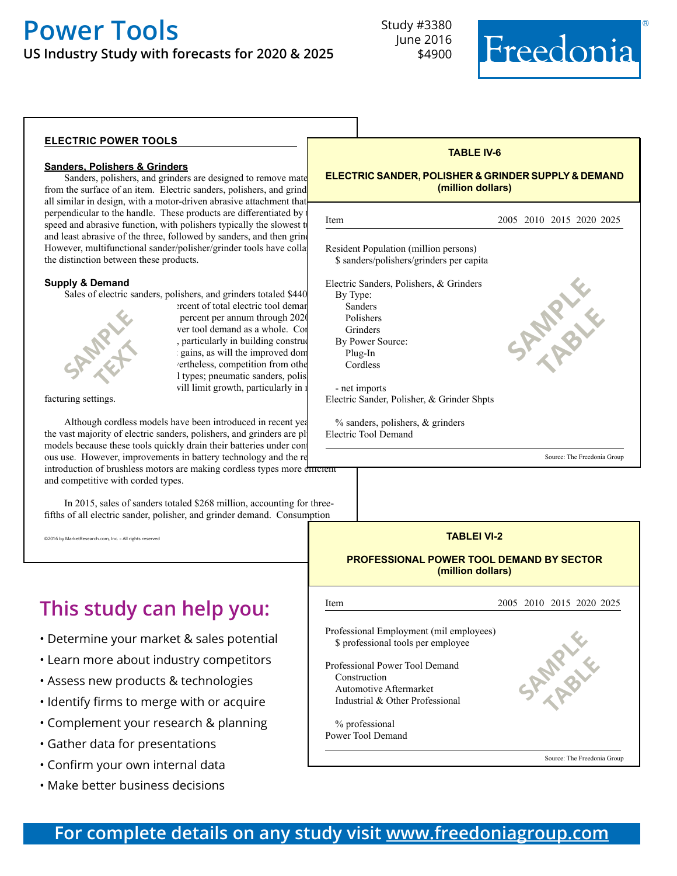**US Industry Study with forecasts for 2020 & 2025**



#### **electric power tools**

#### **Sanders, Polishers & Grinders**

Sanders, polishers, and grinders are designed to remove mate from the surface of an item. Electric sanders, polishers, and grind all similar in design, with a motor-driven abrasive attachment that perpendicular to the handle. These products are differentiated by speed and abrasive function, with polishers typically the slowest t and least abrasive of the three, followed by sanders, and then grind However, multifunctional sander/polisher/grinder tools have colla the distinction between these products.

#### **Supply & Demand**

Sales of electric sanders, polishers, and grinders totaled \$440



ercent of total electric tool deman percent per annum through 2020 ver tool demand as a whole. Con , particularly in building construc gains, as will the improved dom rertheless, competition from othe l types; pneumatic sanders, polis vill limit growth, particularly in  $\mathbf i$ 

facturing settings.

Although cordless models have been introduced in recent years, the vast majority of electric sanders, polishers, and grinders are pl models because these tools quickly drain their batteries under cont ous use. However, improvements in battery technology and the re introduction of brushless motors are making cordless types more efficient and competitive with corded types.

In 2015, sales of sanders totaled \$268 million, accounting for threefifths of all electric sander, polisher, and grinder demand. Consumption

©2016 by MarketResearch.com, Inc. – All rights reserved

# **This study can help you:**

- Determine your market & sales potential
- Learn more about industry competitors
- Assess new products & technologies
- Identify firms to merge with or acquire
- Complement your research & planning
- Gather data for presentations
- Confirm your own internal data
- Make better business decisions

| <u>ELECTRIC SANDER, POLISHER &amp; GRINDER SUPPLY &amp; DEMAND</u><br>(million dollars)                                            |                             |  |
|------------------------------------------------------------------------------------------------------------------------------------|-----------------------------|--|
| Item                                                                                                                               | 2005 2010 2015 2020 2025    |  |
| Resident Population (million persons)<br>\$ sanders/polishers/grinders per capita                                                  |                             |  |
| Electric Sanders, Polishers, & Grinders<br>By Type:<br>Sanders<br>Polishers<br>Grinders<br>By Power Source:<br>Plug-In<br>Cordless |                             |  |
| - net imports<br>Electric Sander, Polisher, & Grinder Shpts                                                                        |                             |  |
| $\%$ sanders, polishers, $\&$ grinders<br><b>Electric Tool Demand</b>                                                              |                             |  |
| जा                                                                                                                                 | Source: The Freedonia Group |  |

**TABLE IV-6**

#### **TABLEI VI-2 PROFESSIONAL POWER TOOL DEMAND BY SECTOR (million dollars)**



Source: The Freedonia Group

### **For complete details on any study visit [www.freedoniagroup.com](http://www.freedoniagroup.com/)**